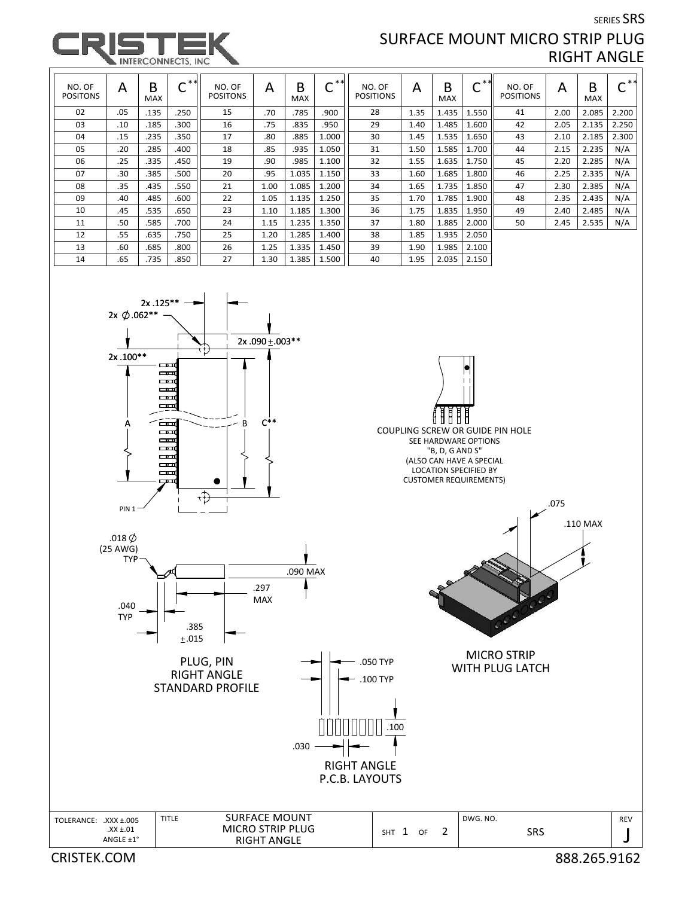SERIES SRS



## SURFACE MOUNT MICRO STRIP PLUG RIGHT ANGLE

| <b>INIERCONNECIO, INC</b><br>ື                                                                                                                                                                                                                                                                                                                                                                                                                                                                                                                                                                                                                                                                                                                                                                               |                            |                 |                |                                          |                    |                 |                     |                            |          |          |                |                            | .    |          |                    |
|--------------------------------------------------------------------------------------------------------------------------------------------------------------------------------------------------------------------------------------------------------------------------------------------------------------------------------------------------------------------------------------------------------------------------------------------------------------------------------------------------------------------------------------------------------------------------------------------------------------------------------------------------------------------------------------------------------------------------------------------------------------------------------------------------------------|----------------------------|-----------------|----------------|------------------------------------------|--------------------|-----------------|---------------------|----------------------------|----------|----------|----------------|----------------------------|------|----------|--------------------|
| NO. OF<br><b>POSITONS</b>                                                                                                                                                                                                                                                                                                                                                                                                                                                                                                                                                                                                                                                                                                                                                                                    | A                          | B<br><b>MAX</b> | $C^{\ast\ast}$ | NO. OF<br><b>POSITONS</b>                | A                  | B<br><b>MAX</b> | $\overline{C}^{**}$ | NO. OF<br><b>POSITIONS</b> | A        | B<br>MAX | $C^{\ast\ast}$ | NO. OF<br><b>POSITIONS</b> | A    | B<br>MAX | $C^{\frac{1}{**}}$ |
| 02                                                                                                                                                                                                                                                                                                                                                                                                                                                                                                                                                                                                                                                                                                                                                                                                           | .05                        | .135            | .250           | 15                                       | .70                | .785            | .900                | 28                         | 1.35     | 1.435    | 1.550          | 41                         | 2.00 | 2.085    | 2.200              |
| 03                                                                                                                                                                                                                                                                                                                                                                                                                                                                                                                                                                                                                                                                                                                                                                                                           | .10                        | .185            | .300           | 16                                       | .75                | .835            | .950                | 29                         | 1.40     | 1.485    | 1.600          | 42                         | 2.05 | 2.135    | 2.250              |
| 04                                                                                                                                                                                                                                                                                                                                                                                                                                                                                                                                                                                                                                                                                                                                                                                                           | .15                        | .235            | .350           | 17                                       | .80                | .885            | 1.000               | 30                         | 1.45     | 1.535    | 1.650          | 43                         | 2.10 | 2.185    | 2.300              |
| 05                                                                                                                                                                                                                                                                                                                                                                                                                                                                                                                                                                                                                                                                                                                                                                                                           | .20                        | .285            | .400           | 18                                       | .85                | .935            | 1.050               | 31                         | 1.50     | 1.585    | 1.700          | 44                         | 2.15 | 2.235    | N/A                |
| 06                                                                                                                                                                                                                                                                                                                                                                                                                                                                                                                                                                                                                                                                                                                                                                                                           | .25                        | .335            | .450           | 19                                       | .90                | .985            | 1.100               | 32                         | 1.55     | 1.635    | 1.750          | 45                         | 2.20 | 2.285    | N/A                |
| 07                                                                                                                                                                                                                                                                                                                                                                                                                                                                                                                                                                                                                                                                                                                                                                                                           | .30                        | .385            | .500           | 20                                       | .95                | 1.035           | 1.150               | 33                         | 1.60     | 1.685    | 1.800          | 46                         | 2.25 | 2.335    | N/A                |
| 08                                                                                                                                                                                                                                                                                                                                                                                                                                                                                                                                                                                                                                                                                                                                                                                                           | .35                        | .435            | .550           | 21                                       | 1.00               | 1.085           | 1.200               | 34                         | 1.65     | 1.735    | 1.850          | 47                         | 2.30 | 2.385    | N/A                |
| 09                                                                                                                                                                                                                                                                                                                                                                                                                                                                                                                                                                                                                                                                                                                                                                                                           | .40                        | .485            | .600           | 22                                       | 1.05               | 1.135           | 1.250               | 35                         | 1.70     | 1.785    | 1.900          | 48                         | 2.35 | 2.435    | N/A                |
| 10                                                                                                                                                                                                                                                                                                                                                                                                                                                                                                                                                                                                                                                                                                                                                                                                           | .45                        | .535            | .650           | 23                                       | 1.10               | 1.185           | 1.300               | 36                         | 1.75     | 1.835    | 1.950          | 49                         | 2.40 | 2.485    | N/A                |
| 11                                                                                                                                                                                                                                                                                                                                                                                                                                                                                                                                                                                                                                                                                                                                                                                                           | .50                        | .585            | .700           | 24                                       | 1.15               | 1.235           | 1.350               | 37                         | 1.80     | 1.885    | 2.000          | 50                         | 2.45 | 2.535    | N/A                |
| 12                                                                                                                                                                                                                                                                                                                                                                                                                                                                                                                                                                                                                                                                                                                                                                                                           | .55                        | .635            | .750           | 25                                       | 1.20               | 1.285           | 1.400               | 38                         | 1.85     | 1.935    | 2.050          |                            |      |          |                    |
| 13                                                                                                                                                                                                                                                                                                                                                                                                                                                                                                                                                                                                                                                                                                                                                                                                           | .60                        | .685            | .800           | 26                                       | 1.25               | 1.335           | 1.450               | 39                         | 1.90     | 1.985    | 2.100          |                            |      |          |                    |
| 14                                                                                                                                                                                                                                                                                                                                                                                                                                                                                                                                                                                                                                                                                                                                                                                                           | .65                        | .735            | .850           | 27                                       | 1.30               | 1.385           | 1.500               | 40                         | 1.95     | 2.035    | 2.150          |                            |      |          |                    |
| 2x.125**<br>2x $\phi$ .062**<br>2x .090 ± .003**<br>2x.100**<br>$\equiv$<br>ľ<br>$\Box$<br>口工<br>. .<br>$\Box$<br>$-1$<br>$\equiv$<br>C**<br>В<br>А<br>$\Box$<br>COUPLING SCREW OR GUIDE PIN HOLE<br>ست<br>$\equiv$<br>SEE HARDWARE OPTIONS<br>$\Box$<br>"B, D, G AND S"<br>$-1$<br>(ALSO CAN HAVE A SPECIAL<br>$\Box$<br><b>LOCATION SPECIFIED BY</b><br>$\Box$<br><b>CUSTOMER REQUIREMENTS)</b><br>سب<br>$\overrightarrow{t}$<br>.075<br>PIN <sub>1</sub><br>.110 MAX<br>.018 $\phi$<br>$(25$ AWG)<br><b>TYP</b><br>$\mathbb{Z}^{\!\mathfrak{A}}$<br>.090 MAX<br>.297<br>MAX<br>.040<br><b>TYP</b><br>.385<br>±.015<br><b>MICRO STRIP</b><br>PLUG, PIN<br>.050 TYP<br>WITH PLUG LATCH<br><b>RIGHT ANGLE</b><br>.100 TYP<br><b>STANDARD PROFILE</b><br>.100<br>.030<br><b>RIGHT ANGLE</b><br>P.C.B. LAYOUTS |                            |                 |                |                                          |                    |                 |                     |                            |          |          |                |                            |      |          |                    |
| TOLERANCE: .XXX ±.005                                                                                                                                                                                                                                                                                                                                                                                                                                                                                                                                                                                                                                                                                                                                                                                        | $.XX \pm .01$<br>ANGLE ±1° |                 | <b>TITLE</b>   | <b>SURFACE MOUNT</b><br>MICRO STRIP PLUG | <b>RIGHT ANGLE</b> |                 |                     |                            | SHT 1 OF | 2        | DWG. NO.       | <b>SRS</b>                 |      |          | <b>REV</b>         |

CRISTEK.COM 888.265.9162